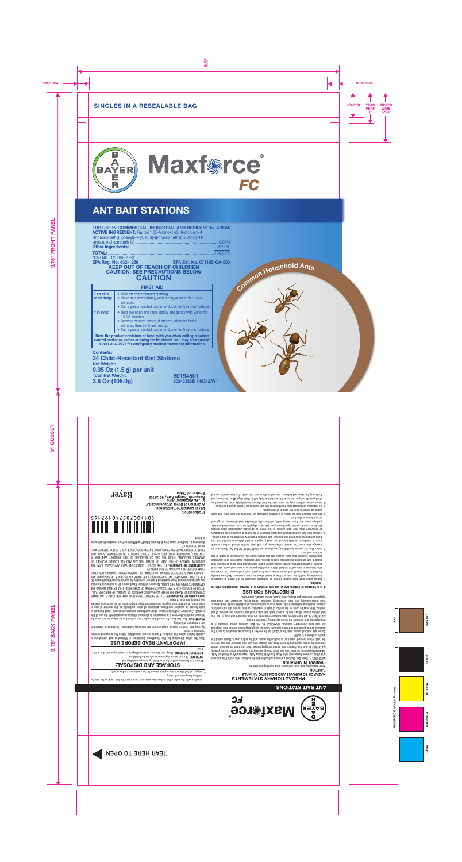

# ANT BAIT STATIONS

# FOR USE IN COMMERCIAL, INDUSTRIAL AND RESIDENTIAL AREAS

ACTIVE INGREDIENT: Fipronil\*: [5-Amino-1-(2, 6-dichloro-4 -trifluoromethyl) phenyl)-4-(1, R, S)-(trifluoromethyl) sulfinyl)-1H -pyrazole-3-carbonitrile]..........................................................................0.01% Other Ingredients: .............................................................................99.99%

KEEP OUT OF REACH OF CHILDREN CAUTION: SEE PRECAUTIONS BELOW **CAUTION** TOTAL: ..............................................................................................100.00% \*CAS NO. 120068-37-3<br>**EPA Reg. No. 432-1256** EPA Reg. No. 432-1256 EPA Est. No. 071106-GA-003

# FIRST AID

| If on skin<br>or clothing:                                                                                                                                                                                 | • Take off contaminated clothing.<br>• Rinse skin immediately with plenty of water for 15-20<br>minutes.<br>• Call a poison control center or doctor for treatment advice.                                                                  |
|------------------------------------------------------------------------------------------------------------------------------------------------------------------------------------------------------------|---------------------------------------------------------------------------------------------------------------------------------------------------------------------------------------------------------------------------------------------|
| If in eyes:                                                                                                                                                                                                | • Hold eye open and rinse slowly and gently with water for<br>15-20 minutes.<br>• Remove contact lenses, if present, after the first 5<br>minutes, then continue rinsing.<br>• Call a poison control center or doctor for treatment advice. |
| Have the product container or label with you when calling a poison<br>control center or doctor or going for treatment. You may also contact<br>1-800-334-7577 for emergency medical treatment information. |                                                                                                                                                                                                                                             |

Contents:

24 Child-Resistant Bait Stations Net Weight: 0.05 Oz (1.5 g) per unit Total Net Weight: 3.8 Oz (108.0g) 80194501 80243383B 140312AV1 Household Ant<sub>S</sub>

Commo<sup>n</sup>